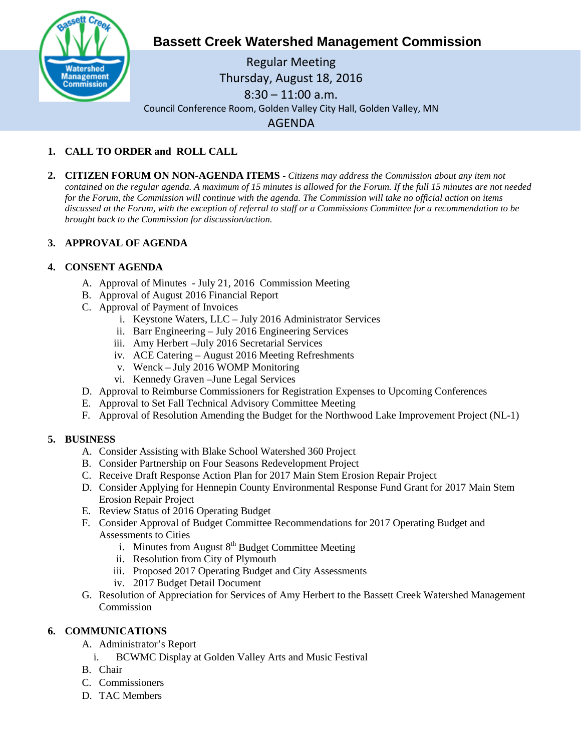

# **Bassett Creek Watershed Management Commission**

Regular Meeting Thursday, August 18, 2016 8:30 – 11:00 a.m. Council Conference Room, Golden Valley City Hall, Golden Valley, MN AGENDA

## **1. CALL TO ORDER and ROLL CALL**

**2. CITIZEN FORUM ON NON-AGENDA ITEMS -** *Citizens may address the Commission about any item not contained on the regular agenda. A maximum of 15 minutes is allowed for the Forum. If the full 15 minutes are not needed for the Forum, the Commission will continue with the agenda. The Commission will take no official action on items discussed at the Forum, with the exception of referral to staff or a Commissions Committee for a recommendation to be brought back to the Commission for discussion/action.*

## **3. APPROVAL OF AGENDA**

### **4. CONSENT AGENDA**

- A. Approval of Minutes July 21, 2016 Commission Meeting
- B. Approval of August 2016 Financial Report
- C. Approval of Payment of Invoices
	- i. Keystone Waters, LLC July 2016 Administrator Services
	- ii. Barr Engineering July 2016 Engineering Services
	- iii. Amy Herbert –July 2016 Secretarial Services
	- iv. ACE Catering August 2016 Meeting Refreshments
	- v. Wenck July 2016 WOMP Monitoring
	- vi. Kennedy Graven –June Legal Services
- D. Approval to Reimburse Commissioners for Registration Expenses to Upcoming Conferences
- E. Approval to Set Fall Technical Advisory Committee Meeting
- F. Approval of Resolution Amending the Budget for the Northwood Lake Improvement Project (NL-1)

### **5. BUSINESS**

- A. Consider Assisting with Blake School Watershed 360 Project
- B. Consider Partnership on Four Seasons Redevelopment Project
- C. Receive Draft Response Action Plan for 2017 Main Stem Erosion Repair Project
- D. Consider Applying for Hennepin County Environmental Response Fund Grant for 2017 Main Stem Erosion Repair Project
- E. Review Status of 2016 Operating Budget
- F. Consider Approval of Budget Committee Recommendations for 2017 Operating Budget and Assessments to Cities
	- i. Minutes from August  $8<sup>th</sup>$  Budget Committee Meeting
	- ii. Resolution from City of Plymouth
	- iii. Proposed 2017 Operating Budget and City Assessments
	- iv. 2017 Budget Detail Document
- G. Resolution of Appreciation for Services of Amy Herbert to the Bassett Creek Watershed Management Commission

### **6. COMMUNICATIONS**

- A. Administrator's Report
	- i. BCWMC Display at Golden Valley Arts and Music Festival
- B. Chair
- C. Commissioners
- D. TAC Members